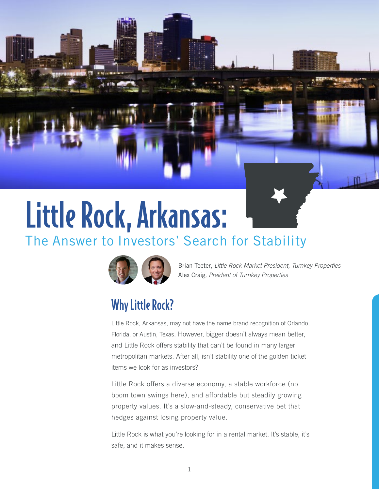# Little Rock, Arkansas: The Answer to Investors' Search for Stability



Brian Teeter, *Little Rock Market President, Turnkey Properties* Alex Craig*, Preident of Turnkey Properties*

# Why Little Rock?

Little Rock, Arkansas, may not have the name brand recognition of Orlando, Florida, or Austin, Texas. However, bigger doesn't always mean better, and Little Rock offers stability that can't be found in many larger metropolitan markets. After all, isn't stability one of the golden ticket items we look for as investors?

Little Rock offers a diverse economy, a stable workforce (no boom town swings here), and affordable but steadily growing property values. It's a slow-and-steady, conservative bet that hedges against losing property value.

Little Rock is what you're looking for in a rental market. It's stable, it's safe, and it makes sense.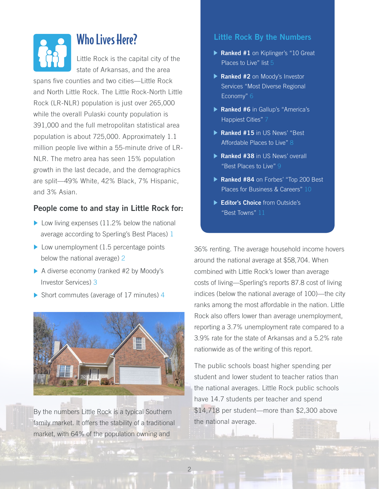

### Who Lives Here?

Little Rock is the capital city of the state of Arkansas, and the area

spans five counties and two cities—Little Rock and North Little Rock. The Little Rock-North Little Rock (LR-NLR) population is just over 265,000 while the overall Pulaski county population is 391,000 and the full metropolitan statistical area population is about 725,000. Approximately 1.1 million people live within a 55-minute drive of LR-NLR. The metro area has seen 15% population growth in the last decade, and the demographics are split—49% White, 42% Black, 7% Hispanic, and 3% Asian.

#### **People come to and stay in Little Rock for:**

- Low living expenses (11.2% below the national average according to Sperling's Best Places) [1](http://www.bestplaces.net/city/arkansas/little_rock)
- $\blacktriangleright$  Low unemployment (1.5 percentage points below the national average) [2](http://www.bestplaces.net/city/arkansas/little_rock)
- A diverse economy (ranked #2 by Moody's Investor Services) [3](https://www.littlerock.gov/city-administration/city-managers-office/divisions/economic-development/)
- Short commutes (average of 17 minutes) [4](http://www.metrolittlerockguide.com/post/101008/why-our-metro-is-better-than-theirs)



By the numbers Little Rock is a typical Southern family market. It offers the stability of a traditional market, with 64% of the population owning and

#### **Little Rock By the Numbers**

- **Ranked #1** on Kiplinger's "10 Great Places to Live" list [5](https://www.littlerock.gov/city-administration/city-managers-office/divisions/economic-development/)
- **Ranked #2** on Moody's Investor Services "Most Diverse Regional Economy" [6](https://www.littlerock.gov/city-administration/city-managers-office/divisions/economic-development/)
- **Ranked #6** in Gallup's "America's Happiest Cities" [7](https://www.littlerock.gov/city-administration/city-managers-office/divisions/economic-development/)
- **Ranked #15** in US News' "Best Affordable Places to Live" [8](http://realestate.usnews.com/real-estate/slideshows/the-25-best-affordable-places-to-live-in-the-us-in-2017/)
- **Ranked #38** in US News' overall "Best Places to Live" [9](http://realestate.usnews.com/real-estate/slideshows/the-25-best-affordable-places-to-live-in-the-us-in-2017/)
- **Ranked #84** on Forbes' "Top 200 Best Places for Business & Careers" [10](https://www.forbes.com/places/ar/little-rock/)
- **Editor's Choice** from Outside's "Best Towns[" 11](https://www.outsideonline.com/1929121/outsides-best-towns-2013)

36% renting. The average household income hovers around the national average at \$58,704. When combined with Little Rock's lower than average costs of living—Sperling's reports 87.8 cost of living indices (below the national average of 100)—the city ranks among the most affordable in the nation. Little Rock also offers lower than average unemployment, reporting a 3.7% unemployment rate compared to a 3.9% rate for the state of Arkansas and a 5.2% rate nationwide as of the writing of this report.

The public schools boast higher spending per student and lower student to teacher ratios than the national averages. Little Rock public schools have 14.7 students per teacher and spend \$14,718 per student—more than \$2,300 above the national average.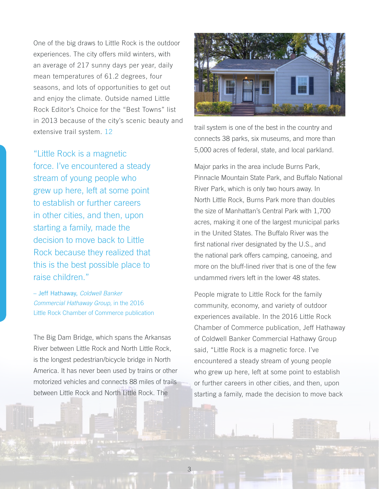One of the big draws to Little Rock is the outdoor experiences. The city offers mild winters, with an average of 217 sunny days per year, daily mean temperatures of 61.2 degrees, four seasons, and lots of opportunities to get out and enjoy the climate. Outside named Little Rock Editor's Choice for the "Best Towns" list in 2013 because of the city's scenic beauty and extensive trail system. [12](https://www.outsideonline.com/1929121/outsides-best-towns-2013)

"Little Rock is a magnetic force. I've encountered a steady stream of young people who grew up here, left at some point to establish or further careers in other cities, and then, upon starting a family, made the decision to move back to Little Rock because they realized that this is the best possible place to raise children."

– Jeff Hathaway, *Coldwell Banker Commercial Hathaway Group,* in the 2016 Little Rock Chamber of Commerce publication

The Big Dam Bridge, which spans the Arkansas River between Little Rock and North Little Rock, is the longest pedestrian/bicycle bridge in North America. It has never been used by trains or other motorized vehicles and connects 88 miles of trails between Little Rock and North Little Rock. The



trail system is one of the best in the country and connects 38 parks, six museums, and more than 5,000 acres of federal, state, and local parkland.

Major parks in the area include Burns Park, Pinnacle Mountain State Park, and Buffalo National River Park, which is only two hours away. In North Little Rock, Burns Park more than doubles the size of Manhattan's Central Park with 1,700 acres, making it one of the largest municipal parks in the United States. The Buffalo River was the first national river designated by the U.S., and the national park offers camping, canoeing, and more on the bluff-lined river that is one of the few undammed rivers left in the lower 48 states.

People migrate to Little Rock for the family community, economy, and variety of outdoor experiences available. In the 2016 Little Rock Chamber of Commerce publication, Jeff Hathaway of Coldwell Banker Commercial Hathawy Group said, "Little Rock is a magnetic force. I've encountered a steady stream of young people who grew up here, left at some point to establish or further careers in other cities, and then, upon starting a family, made the decision to move back

3 PB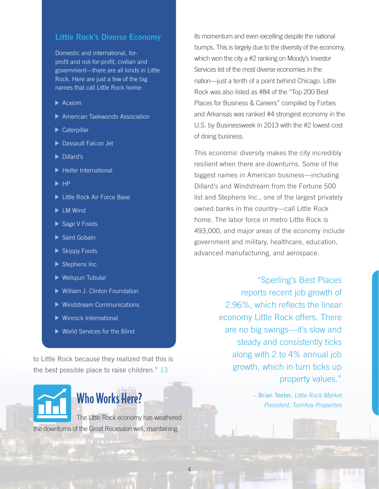#### **Little Rock's Diverse Economy**

Domestic and international, forprofit and not-for-profit, civilian and government—there are all kinds in Little Rock. Here are just a few of the big names that call Little Rock home:

- $\blacktriangleright$  Acxiom
- American Taekwondo Association
- Caterpillar
- ▶ Dassault Falcon Jet
- Dillard's
- Heifer International
- $\blacktriangleright$  HP
- ▶ Little Rock Air Force Base
- **LM Wind**
- Sage V Foods
- Saint Gobain
- Skippy Foods
- Stephens Inc.
- ▶ Welspun Tubular
- William J. Clinton Foundation
- Windstream Communications
- Winrock International
- ▶ World Services for the Blind

to Little Rock because they realized that this is the best possible place to raise children." [13](http://www.pageturnpro.com/Arkansas-Business-Group/70711-Capital-Assets-2016/index.html#60)



The Little Rock economy has weathered the downturns of the Great Recession well, maintaining

its momentum and even excelling despite the national bumps. This is largely due to the diversity of the economy, which won the city a #2 ranking on Moody's Investor Services list of the most diverse economies in the nation—just a tenth of a point behind Chicago. Little Rock was also listed as #84 of the "Top 200 Best Places for Business & Careers" compiled by Forbes and Arkansas was ranked #4 strongest economy in the U.S. by Businessweek in 2013 with the #2 lowest cost of doing business.

This economic diversity makes the city incredibly resilient when there are downturns. Some of the biggest names in American business—including Dillard's and Windstream from the Fortune 500 list and Stephens Inc., one of the largest privately owned banks in the country—call Little Rock home. The labor force in metro Little Rock is 493,000, and major areas of the economy include government and military, healthcare, education, advanced manufacturing, and aerospace.

> "Sperling's Best Places reports recent job growth of 2.96%, which reflects the linear economy Little Rock offers. There are no big swings—it's slow and steady and consistently ticks along with 2 to 4% annual job growth, which in turn ticks up property values."

> > – Brian Teeter, *Little Rock Market President, TurnKey Properties*

4 Page 19 Page 19 Page 19 Page 19 Page 19 Page 19 Page 19 Page 19 Page 19 Page 19 Page 19 Page 19 Page 19 Page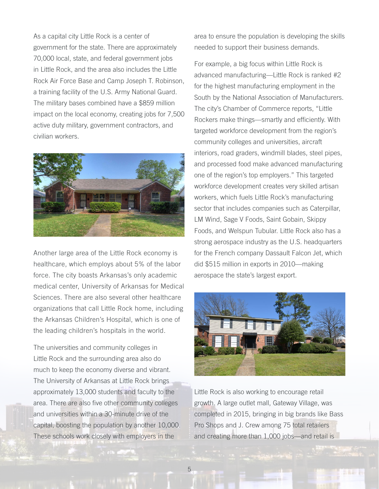As a capital city Little Rock is a center of government for the state. There are approximately 70,000 local, state, and federal government jobs in Little Rock, and the area also includes the Little Rock Air Force Base and Camp Joseph T. Robinson, a training facility of the U.S. Army National Guard. The military bases combined have a \$859 million impact on the local economy, creating jobs for 7,500 active duty military, government contractors, and civilian workers.



Another large area of the Little Rock economy is healthcare, which employs about 5% of the labor force. The city boasts Arkansas's only academic medical center, University of Arkansas for Medical Sciences. There are also several other healthcare organizations that call Little Rock home, including the Arkansas Children's Hospital, which is one of the leading children's hospitals in the world.

The universities and community colleges in Little Rock and the surrounding area also do much to keep the economy diverse and vibrant. The University of Arkansas at Little Rock brings approximately 13,000 students and faculty to the area. There are also five other community colleges and universities within a 30-minute drive of the capital, boosting the population by another 10,000. These schools work closely with employers in the

area to ensure the population is developing the skills needed to support their business demands.

For example, a big focus within Little Rock is advanced manufacturing—Little Rock is ranked #2 for the highest manufacturing employment in the South by the National Association of Manufacturers. The city's Chamber of Commerce reports, "Little Rockers make things—smartly and efficiently. With targeted workforce development from the region's community colleges and universities, aircraft interiors, road graders, windmill blades, steel pipes, and processed food make advanced manufacturing one of the region's top employers." This targeted workforce development creates very skilled artisan workers, which fuels Little Rock's manufacturing sector that includes companies such as Caterpillar, LM Wind, Sage V Foods, Saint Gobain, Skippy Foods, and Welspun Tubular. Little Rock also has a strong aerospace industry as the U.S. headquarters for the French company Dassault Falcon Jet, which did \$515 million in exports in 2010—making aerospace the state's largest export.



Little Rock is also working to encourage retail growth. A large outlet mall, Gateway Village, was completed in 2015, bringing in big brands like Bass Pro Shops and J. Crew among 75 total retailers and creating more than 1,000 jobs—and retail is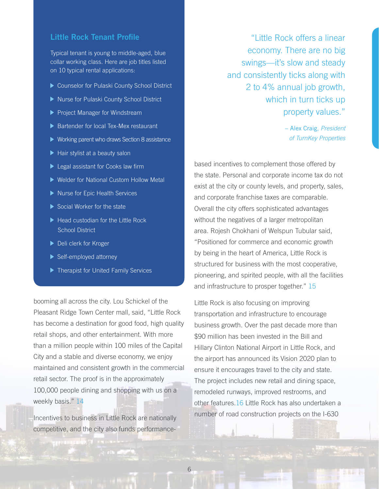#### **Little Rock Tenant Profile**

Typical tenant is young to middle-aged, blue collar working class. Here are job titles listed on 10 typical rental applications:

- ▶ Counselor for Pulaski County School District
- ▶ Nurse for Pulaski County School District
- Project Manager for Windstream
- Bartender for local Tex-Mex restaurant
- ▶ Working parent who draws Section 8 assistance
- Hair stylist at a beauty salon
- **Legal assistant for Cooks law firm**
- ▶ Welder for National Custom Hollow Metal
- Nurse for Epic Health Services
- ▶ Social Worker for the state
- ▶ Head custodian for the Little Rock School District
- ▶ Deli clerk for Kroger
- ▶ Self-employed attorney
- ▶ Therapist for United Family Services

booming all across the city. Lou Schickel of the Pleasant Ridge Town Center mall, said, "Little Rock has become a destination for good food, high quality retail shops, and other entertainment. With more than a million people within 100 miles of the Capital City and a stable and diverse economy, we enjoy maintained and consistent growth in the commercial retail sector. The proof is in the approximately 100,000 people dining and shopping with us on a weekly basis." [14](http://www.pageturnpro.com/Arkansas-Business-Group/70711-Capital-Assets-2016/index.html#24)

Incentives to business in Little Rock are nationally competitive, and the city also funds performance-

"Little Rock offers a linear economy. There are no big swings—it's slow and steady and consistently ticks along with 2 to 4% annual job growth, which in turn ticks up property values."

> – Alex Craig, *President of TurnKey Properties*

based incentives to complement those offered by the state. Personal and corporate income tax do not exist at the city or county levels, and property, sales, and corporate franchise taxes are comparable. Overall the city offers sophisticated advantages without the negatives of a larger metropolitan area. Rojesh Chokhani of Welspun Tubular said, "Positioned for commerce and economic growth by being in the heart of America, Little Rock is structured for business with the most cooperative, pioneering, and spirited people, with all the facilities and infrastructure to prosper together." [15](http://www.pageturnpro.com/Arkansas-Business-Group/70711-Capital-Assets-2016/index.html#52)

Little Rock is also focusing on improving transportation and infrastructure to encourage business growth. Over the past decade more than \$90 million has been invested in the Bill and Hillary Clinton National Airport in Little Rock, and the airport has announced its Vision 2020 plan to ensure it encourages travel to the city and state. The project includes new retail and dining space, remodeled runways, improved restrooms, and other features[.16](http://www.prnewswire.com/news-releases/clinton-national-airport-begins-extensive-concourse-renovation-300348760.html) Little Rock has also undertaken a number of road construction projects on the I-630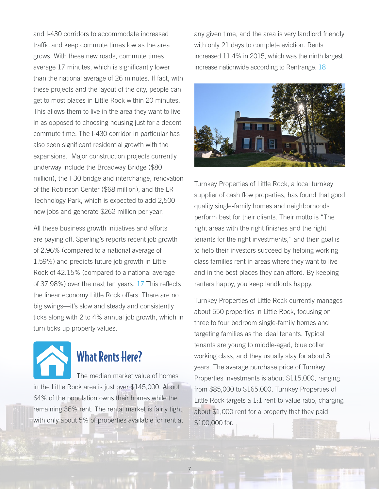and I-430 corridors to accommodate increased traffic and keep commute times low as the area grows. With these new roads, commute times average 17 minutes, which is significantly lower than the national average of 26 minutes. If fact, with these projects and the layout of the city, people can get to most places in Little Rock within 20 minutes. This allows them to live in the area they want to live in as opposed to choosing housing just for a decent commute time. The I-430 corridor in particular has also seen significant residential growth with the expansions. Major construction projects currently underway include the Broadway Bridge (\$80 million), the I-30 bridge and interchange, renovation of the Robinson Center (\$68 million), and the LR Technology Park, which is expected to add 2,500 new jobs and generate \$262 million per year.

All these business growth initiatives and efforts are paying off. Sperling's reports recent job growth of 2.96% (compared to a national average of 1.59%) and predicts future job growth in Little Rock of 42.15% (compared to a national average of 37.98%) over the next ten years. [17](http://www.bestplaces.net/economy/city/arkansas/little_rock) This reflects the linear economy Little Rock offers. There are no big swings—it's slow and steady and consistently ticks along with 2 to 4% annual job growth, which in turn ticks up property values.



### What Rents Here?

The median market value of homes in the Little Rock area is just over \$145,000. About 64% of the population owns their homes while the remaining 36% rent. The rental market is fairly tight, with only about 5% of properties available for rent at

any given time, and the area is very landlord friendly with only 21 days to complete eviction. Rents increased 11.4% in 2015, which was the ninth largest increase nationwide according to Rentrange. [18](https://finance.yahoo.com/news/affordable-housing-options-little-rock-164600765.html)



Turnkey Properties of Little Rock, a local turnkey supplier of cash flow properties, has found that good quality single-family homes and neighborhoods perform best for their clients. Their motto is "The right areas with the right finishes and the right tenants for the right investments," and their goal is to help their investors succeed by helping working class families rent in areas where they want to live and in the best places they can afford. By keeping renters happy, you keep landlords happy.

Turnkey Properties of Little Rock currently manages about 550 properties in Little Rock, focusing on three to four bedroom single-family homes and targeting families as the ideal tenants. Typical tenants are young to middle-aged, blue collar working class, and they usually stay for about 3 years. The average purchase price of Turnkey Properties investments is about \$115,000, ranging from \$85,000 to \$165,000. Turnkey Properties of Little Rock targets a 1:1 rent-to-value ratio, charging about \$1,000 rent for a property that they paid \$100,000 for.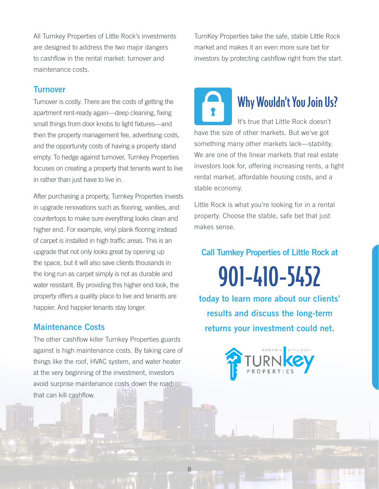All Turnkey Properties of Little Rock's investments are designed to address the two major dangers to cashflow in the rental market: turnover and maintenance costs.

### **Turnover**

Turnover is costly. There are the costs of getting the apartment rent-ready again—deep cleaning, fixing small things from door knobs to light fixtures—and then the property management fee, advertising costs, and the opportunity costs of having a property stand empty. To hedge against turnover, Turnkey Properties focuses on creating a property that tenants want to live in rather than just have to live in.

After purchasing a property, Turnkey Properties invests in upgrade renovations such as flooring, vanities, and countertops to make sure everything looks clean and higher end. For example, vinyl plank flooring instead of carpet is installed in high traffic areas. This is an upgrade that not only looks great by opening up the space, but it will also save clients thousands in the long run as carpet simply is not as durable and water resistant. By providing this higher end look, the property offers a quality place to live and tenants are happier. And happier tenants stay longer.

### **Maintenance Costs**

The other cashflow killer Turnkey Properties guards against is high maintenance costs. By taking care of things like the roof, HVAC system, and water heater at the very beginning of the investment, investors avoid surprise maintenance costs down the road that can kill cashflow.

TurnKey Properties take the safe, stable Little Rock market and makes it an even more sure bet for investors by protecting cashflow right from the start.

# Why Wouldn't You Join Us?

It's true that Little Rock doesn't have the size of other markets. But we've got something many other markets lack—stability. We are one of the linear markets that real estate investors look for, offering increasing rents, a tight rental market, affordable housing costs, and a stable economy.

Little Rock is what you're looking for in a rental property. Choose the stable, safe bet that just makes sense.

**Call Turnkey Properties of Little Rock at** 

901-410-5452

**today to learn more about our clients' results and discuss the long-term returns your investment could net.**

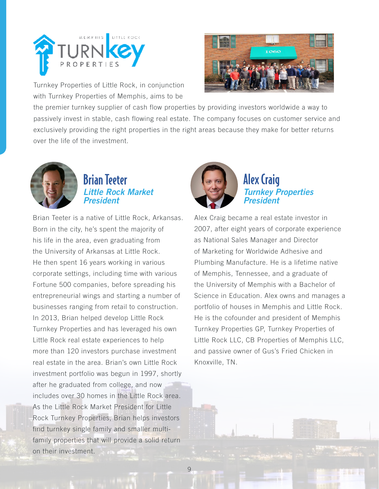

Turnkey Properties of Little Rock, in conjunction with Turnkey Properties of Memphis, aims to be



the premier turnkey supplier of cash flow properties by providing investors worldwide a way to passively invest in stable, cash flowing real estate. The company focuses on customer service and exclusively providing the right properties in the right areas because they make for better returns over the life of the investment.



### Brian Teeter *Little Rock Market President*

Brian Teeter is a native of Little Rock, Arkansas. Born in the city, he's spent the majority of his life in the area, even graduating from the University of Arkansas at Little Rock. He then spent 16 years working in various corporate settings, including time with various Fortune 500 companies, before spreading his entrepreneurial wings and starting a number of businesses ranging from retail to construction. In 2013, Brian helped develop Little Rock Turnkey Properties and has leveraged his own Little Rock real estate experiences to help more than 120 investors purchase investment real estate in the area. Brian's own Little Rock investment portfolio was begun in 1997, shortly after he graduated from college, and now includes over 30 homes in the Little Rock area. As the Little Rock Market President for Little Rock Turnkey Properties, Brian helps investors find turnkey single family and smaller multifamily properties that will provide a solid return on their investment.



### Alex Craig *Turnkey Properties President*

Alex Craig became a real estate investor in 2007, after eight years of corporate experience as National Sales Manager and Director of Marketing for Worldwide Adhesive and Plumbing Manufacture. He is a lifetime native of Memphis, Tennessee, and a graduate of the University of Memphis with a Bachelor of Science in Education. Alex owns and manages a portfolio of houses in Memphis and Little Rock. He is the cofounder and president of Memphis Turnkey Properties GP, Turnkey Properties of Little Rock LLC, CB Properties of Memphis LLC, and passive owner of Gus's Fried Chicken in Knoxville, TN.